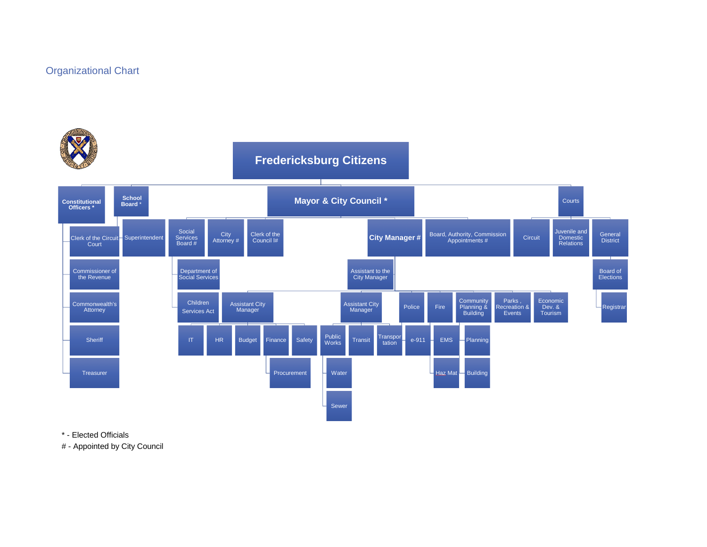## Organizational Chart



\* - Elected Officials

# - Appointed by City Council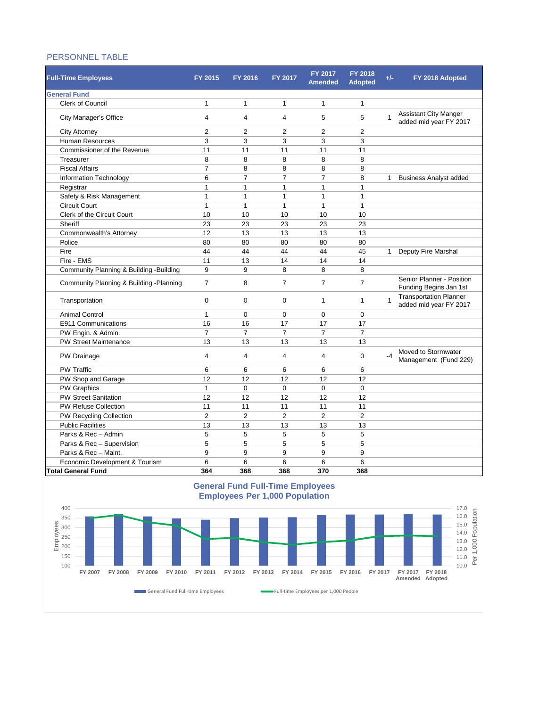## PERSONNEL TABLE

| <b>Full-Time Employees</b>               | FY 2015        | FY 2016        | FY 2017          | FY 2017<br><b>Amended</b> | <b>FY 2018</b><br><b>Adopted</b> | $+/-$        | FY 2018 Adopted                                         |
|------------------------------------------|----------------|----------------|------------------|---------------------------|----------------------------------|--------------|---------------------------------------------------------|
| <b>General Fund</b>                      |                |                |                  |                           |                                  |              |                                                         |
| <b>Clerk of Council</b>                  | $\mathbf{1}$   | $\mathbf{1}$   | $\mathbf{1}$     | $\mathbf{1}$              | $\mathbf{1}$                     |              |                                                         |
| City Manager's Office                    | $\overline{4}$ | 4              | 4                | 5                         | 5                                | $\mathbf 1$  | Assistant City Manger<br>added mid year FY 2017         |
| <b>City Attorney</b>                     | $\overline{2}$ | 2              | $\overline{2}$   | $\overline{2}$            | $\overline{2}$                   |              |                                                         |
| <b>Human Resources</b>                   | 3              | 3              | 3                | 3                         | 3                                |              |                                                         |
| Commissioner of the Revenue              | 11             | 11             | 11               | 11                        | 11                               |              |                                                         |
| Treasurer                                | 8              | 8              | 8                | 8                         | 8                                |              |                                                         |
| <b>Fiscal Affairs</b>                    | $\overline{7}$ | 8              | 8                | 8                         | 8                                |              |                                                         |
| Information Technology                   | 6              | $\overline{7}$ | $\overline{7}$   | $\overline{7}$            | 8                                | 1            | <b>Business Analyst added</b>                           |
| Registrar                                | $\mathbf{1}$   | $\mathbf{1}$   | 1                | $\mathbf{1}$              | 1                                |              |                                                         |
| Safety & Risk Management                 | $\mathbf{1}$   | 1              | $\mathbf{1}$     | $\mathbf{1}$              | 1                                |              |                                                         |
| <b>Circuit Court</b>                     | $\mathbf{1}$   | 1              | $\mathbf{1}$     | $\mathbf{1}$              | $\mathbf{1}$                     |              |                                                         |
| Clerk of the Circuit Court               | 10             | 10             | 10               | 10                        | 10                               |              |                                                         |
| Sheriff                                  | 23             | 23             | 23               | 23                        | 23                               |              |                                                         |
| Commonwealth's Attorney                  | 12             | 13             | 13               | 13                        | 13                               |              |                                                         |
| Police                                   | 80             | 80             | 80               | 80                        | 80                               |              |                                                         |
| Fire                                     | 44             | 44             | 44               | 44                        | 45                               | $\mathbf{1}$ | Deputy Fire Marshal                                     |
| Fire - EMS                               | 11             | 13             | 14               | 14                        | 14                               |              |                                                         |
| Community Planning & Building - Building | 9              | 9              | 8                | 8                         | 8                                |              |                                                         |
| Community Planning & Building - Planning | $\overline{7}$ | 8              | $\overline{7}$   | $\overline{7}$            | 7                                |              | Senior Planner - Position<br>Funding Begins Jan 1st     |
| Transportation                           | $\Omega$       | 0              | $\mathbf 0$      | 1                         | 1                                | 1            | <b>Transportation Planner</b><br>added mid year FY 2017 |
| <b>Animal Control</b>                    | $\mathbf{1}$   | $\mathbf 0$    | $\boldsymbol{0}$ | $\mathbf 0$               | $\mathbf 0$                      |              |                                                         |
| E911 Communications                      | 16             | 16             | 17               | 17                        | 17                               |              |                                                         |
| PW Engin. & Admin.                       | $\overline{7}$ | $\overline{7}$ | $\overline{7}$   | $\overline{7}$            | $\overline{7}$                   |              |                                                         |
| <b>PW Street Maintenance</b>             | 13             | 13             | 13               | 13                        | 13                               |              |                                                         |
| PW Drainage                              | $\overline{4}$ | $\overline{4}$ | $\overline{4}$   | $\overline{\mathbf{4}}$   | $\mathbf 0$                      | $-4$         | Moved to Stormwater<br>Management (Fund 229)            |
| <b>PW Traffic</b>                        | 6              | 6              | 6                | 6                         | 6                                |              |                                                         |
| PW Shop and Garage                       | 12             | 12             | 12               | 12                        | 12                               |              |                                                         |
| <b>PW Graphics</b>                       | $\mathbf{1}$   | $\mathbf 0$    | $\Omega$         | $\Omega$                  | $\mathbf 0$                      |              |                                                         |
| <b>PW Street Sanitation</b>              | 12             | 12             | 12               | 12                        | 12                               |              |                                                         |
| <b>PW Refuse Collection</b>              | 11             | 11             | 11               | 11                        | 11                               |              |                                                         |
| PW Recycling Collection                  | $\overline{2}$ | $\overline{2}$ | $\overline{2}$   | $\overline{2}$            | $\overline{2}$                   |              |                                                         |
| <b>Public Facilities</b>                 | 13             | 13             | 13               | 13                        | 13                               |              |                                                         |
| Parks & Rec - Admin                      | 5              | 5              | 5                | 5                         | 5                                |              |                                                         |
| Parks & Rec - Supervision                | 5              | 5              | 5                | 5                         | 5                                |              |                                                         |
| Parks & Rec - Maint.                     | 9              | 9              | 9                | 9                         | 9                                |              |                                                         |
| Economic Development & Tourism           | 6              | 6              | 6                | 6                         | 6                                |              |                                                         |
| <b>Total General Fund</b>                | 364            | 368            | 368              | 370                       | 368                              |              |                                                         |

## **General Fund Full-Time Employees Employees Per 1,000 Population**

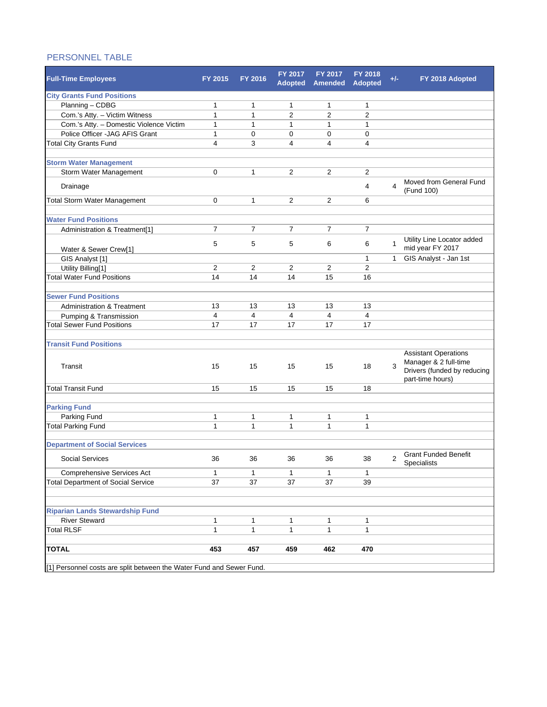## PERSONNEL TABLE

| <b>Full-Time Employees</b>                                           | FY 2015        | FY 2016        | <b>FY 2017</b><br><b>Adopted</b> | FY 2017<br><b>Amended</b> | FY 2018<br><b>Adopted</b> | $+/-$          | FY 2018 Adopted                                                                     |  |  |
|----------------------------------------------------------------------|----------------|----------------|----------------------------------|---------------------------|---------------------------|----------------|-------------------------------------------------------------------------------------|--|--|
| <b>City Grants Fund Positions</b>                                    |                |                |                                  |                           |                           |                |                                                                                     |  |  |
| Planning - CDBG                                                      | 1              | 1              | $\mathbf{1}$                     | 1                         | 1                         |                |                                                                                     |  |  |
| Com.'s Atty. - Victim Witness                                        | $\mathbf{1}$   | $\mathbf{1}$   | $\overline{2}$                   | $\overline{2}$            | $\overline{2}$            |                |                                                                                     |  |  |
| Com.'s Atty. - Domestic Violence Victim                              | $\mathbf{1}$   | $\mathbf{1}$   | $\mathbf{1}$                     | $\mathbf{1}$              | $\mathbf{1}$              |                |                                                                                     |  |  |
| Police Officer - JAG AFIS Grant                                      | 1              | 0              | $\mathbf 0$                      | $\mathbf 0$               | 0                         |                |                                                                                     |  |  |
| <b>Total City Grants Fund</b>                                        | 4              | 3              | $\overline{4}$                   | 4                         | $\overline{4}$            |                |                                                                                     |  |  |
|                                                                      |                |                |                                  |                           |                           |                |                                                                                     |  |  |
| <b>Storm Water Management</b>                                        |                |                |                                  |                           |                           |                |                                                                                     |  |  |
| Storm Water Management                                               | 0              | $\mathbf{1}$   | $\overline{2}$                   | $\overline{2}$            | 2                         |                |                                                                                     |  |  |
| Drainage                                                             |                |                |                                  |                           | 4                         | 4              | Moved from General Fund<br>(Fund 100)                                               |  |  |
| Total Storm Water Management                                         | $\mathbf 0$    | 1              | 2                                | 2                         | 6                         |                |                                                                                     |  |  |
|                                                                      |                |                |                                  |                           |                           |                |                                                                                     |  |  |
| <b>Water Fund Positions</b>                                          |                |                |                                  |                           |                           |                |                                                                                     |  |  |
| Administration & Treatment[1]                                        | $\overline{7}$ | $\overline{7}$ | $\overline{7}$                   | $\overline{7}$            | $\overline{7}$            |                |                                                                                     |  |  |
| Water & Sewer Crew[1]                                                | 5              | 5              | 5                                | 6                         | 6                         | $\mathbf{1}$   | Utility Line Locator added<br>mid year FY 2017                                      |  |  |
| GIS Analyst [1]                                                      |                |                |                                  |                           | 1                         | $\mathbf{1}$   | GIS Analyst - Jan 1st                                                               |  |  |
| Utility Billing[1]                                                   | $\overline{2}$ | $\overline{2}$ | $\overline{2}$                   | $\overline{2}$            | $\overline{2}$            |                |                                                                                     |  |  |
| <b>Total Water Fund Positions</b>                                    | 14             | 14             | 14                               | 15                        | 16                        |                |                                                                                     |  |  |
|                                                                      |                |                |                                  |                           |                           |                |                                                                                     |  |  |
| <b>Sewer Fund Positions</b>                                          |                |                |                                  |                           |                           |                |                                                                                     |  |  |
| <b>Administration &amp; Treatment</b>                                | 13             | 13             | 13                               | 13                        | 13                        |                |                                                                                     |  |  |
| Pumping & Transmission                                               | 4              | 4              | $\overline{4}$                   | $\overline{4}$            | 4                         |                |                                                                                     |  |  |
| <b>Total Sewer Fund Positions</b>                                    | 17             | 17             | 17                               | 17                        | 17                        |                |                                                                                     |  |  |
|                                                                      |                |                |                                  |                           |                           |                |                                                                                     |  |  |
| <b>Transit Fund Positions</b>                                        |                |                |                                  |                           |                           |                |                                                                                     |  |  |
| Transit                                                              | 15             | 15             | 15                               | 15                        | 18                        | 3              | <b>Assistant Operations</b><br>Manager & 2 full-time<br>Drivers (funded by reducing |  |  |
|                                                                      |                |                |                                  |                           |                           |                | part-time hours)                                                                    |  |  |
| <b>Total Transit Fund</b>                                            | 15             | 15             | 15                               | 15                        | 18                        |                |                                                                                     |  |  |
| <b>Parking Fund</b>                                                  |                |                |                                  |                           |                           |                |                                                                                     |  |  |
| Parking Fund                                                         | 1              | 1              | 1                                | 1                         |                           |                |                                                                                     |  |  |
| <b>Total Parking Fund</b>                                            | $\mathbf{1}$   | $\mathbf{1}$   | $\mathbf{1}$                     | $\mathbf{1}$              | 1<br>$\mathbf{1}$         |                |                                                                                     |  |  |
|                                                                      |                |                |                                  |                           |                           |                |                                                                                     |  |  |
| <b>Department of Social Services</b>                                 |                |                |                                  |                           |                           |                |                                                                                     |  |  |
| <b>Social Services</b>                                               | 36             | 36             | 36                               | 36                        | 38                        | $\overline{2}$ | <b>Grant Funded Benefit</b><br>Specialists                                          |  |  |
| Comprehensive Services Act                                           | 1              | 1              | 1                                | $\mathbf{1}$              | 1                         |                |                                                                                     |  |  |
| <b>Total Department of Social Service</b>                            | 37             | 37             | 37                               | 37                        | 39                        |                |                                                                                     |  |  |
|                                                                      |                |                |                                  |                           |                           |                |                                                                                     |  |  |
|                                                                      |                |                |                                  |                           |                           |                |                                                                                     |  |  |
| <b>Riparian Lands Stewardship Fund</b>                               |                |                |                                  |                           |                           |                |                                                                                     |  |  |
| <b>River Steward</b>                                                 | 1              | 1              | 1                                | 1                         | 1                         |                |                                                                                     |  |  |
| <b>Total RLSF</b>                                                    | 1              | 1              | 1                                | 1                         | 1                         |                |                                                                                     |  |  |
|                                                                      |                |                |                                  |                           |                           |                |                                                                                     |  |  |
| <b>TOTAL</b>                                                         | 453            | 457            | 459                              | 462                       | 470                       |                |                                                                                     |  |  |
| [1] Personnel costs are split between the Water Fund and Sewer Fund. |                |                |                                  |                           |                           |                |                                                                                     |  |  |